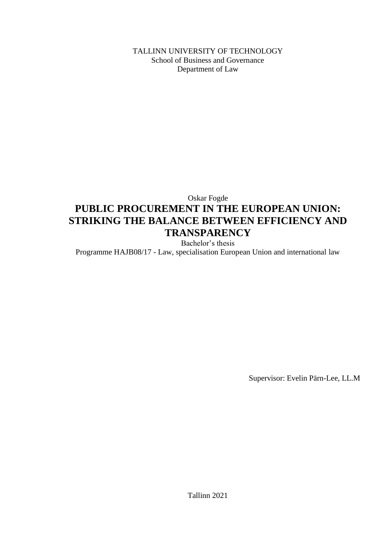TALLINN UNIVERSITY OF TECHNOLOGY School of Business and Governance Department of Law

### Oskar Fogde **PUBLIC PROCUREMENT IN THE EUROPEAN UNION: STRIKING THE BALANCE BETWEEN EFFICIENCY AND TRANSPARENCY** Bachelor's thesis

Programme HAJB08/17 - Law, specialisation European Union and international law

Supervisor: Evelin Pärn-Lee, LL.M

Tallinn 2021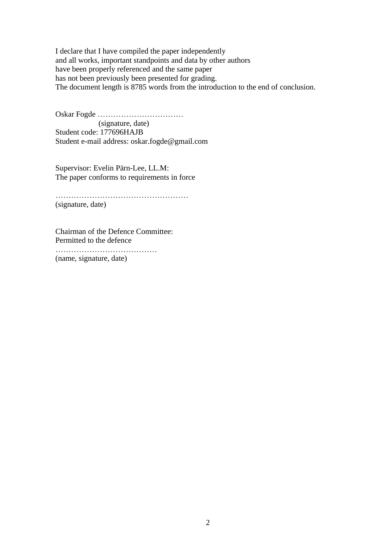I declare that I have compiled the paper independently and all works, important standpoints and data by other authors have been properly referenced and the same paper has not been previously been presented for grading. The document length is 8785 words from the introduction to the end of conclusion.

Oskar Fogde …………………………… (signature, date) Student code: 177696HAJB Student e-mail address: oskar.fogde@gmail.com

Supervisor: Evelin Pärn-Lee, LL.M: The paper conforms to requirements in force

…………………………………………… (signature, date)

Chairman of the Defence Committee: Permitted to the defence

………………………………… (name, signature, date)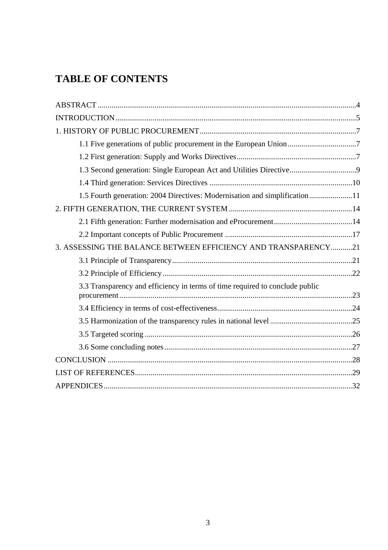# **TABLE OF CONTENTS**

| 1.3 Second generation: Single European Act and Utilities Directive           |  |
|------------------------------------------------------------------------------|--|
|                                                                              |  |
| 1.5 Fourth generation: 2004 Directives: Modernisation and simplification11   |  |
|                                                                              |  |
|                                                                              |  |
|                                                                              |  |
| 3. ASSESSING THE BALANCE BETWEEN EFFICIENCY AND TRANSPARENCY21               |  |
|                                                                              |  |
|                                                                              |  |
| 3.3 Transparency and efficiency in terms of time required to conclude public |  |
|                                                                              |  |
|                                                                              |  |
|                                                                              |  |
|                                                                              |  |
|                                                                              |  |
|                                                                              |  |
|                                                                              |  |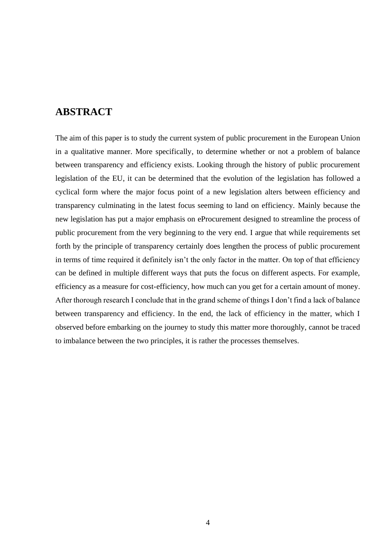### <span id="page-3-0"></span>**ABSTRACT**

The aim of this paper is to study the current system of public procurement in the European Union in a qualitative manner. More specifically, to determine whether or not a problem of balance between transparency and efficiency exists. Looking through the history of public procurement legislation of the EU, it can be determined that the evolution of the legislation has followed a cyclical form where the major focus point of a new legislation alters between efficiency and transparency culminating in the latest focus seeming to land on efficiency. Mainly because the new legislation has put a major emphasis on eProcurement designed to streamline the process of public procurement from the very beginning to the very end. I argue that while requirements set forth by the principle of transparency certainly does lengthen the process of public procurement in terms of time required it definitely isn't the only factor in the matter. On top of that efficiency can be defined in multiple different ways that puts the focus on different aspects. For example, efficiency as a measure for cost-efficiency, how much can you get for a certain amount of money. After thorough research I conclude that in the grand scheme of things I don't find a lack of balance between transparency and efficiency. In the end, the lack of efficiency in the matter, which I observed before embarking on the journey to study this matter more thoroughly, cannot be traced to imbalance between the two principles, it is rather the processes themselves.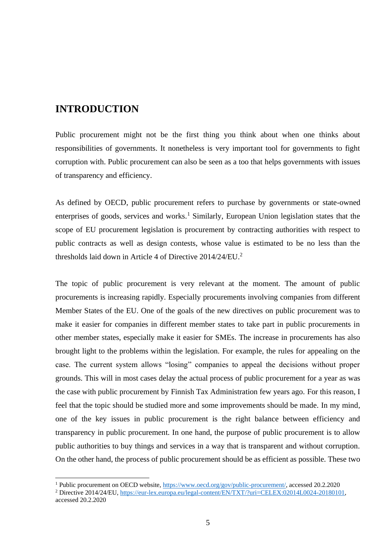### <span id="page-4-0"></span>**INTRODUCTION**

Public procurement might not be the first thing you think about when one thinks about responsibilities of governments. It nonetheless is very important tool for governments to fight corruption with. Public procurement can also be seen as a too that helps governments with issues of transparency and efficiency.

As defined by OECD, public procurement refers to purchase by governments or state-owned enterprises of goods, services and works.<sup>1</sup> Similarly, European Union legislation states that the scope of EU procurement legislation is procurement by contracting authorities with respect to public contracts as well as design contests, whose value is estimated to be no less than the thresholds laid down in Article 4 of Directive 2014/24/EU.<sup>2</sup>

The topic of public procurement is very relevant at the moment. The amount of public procurements is increasing rapidly. Especially procurements involving companies from different Member States of the EU. One of the goals of the new directives on public procurement was to make it easier for companies in different member states to take part in public procurements in other member states, especially make it easier for SMEs. The increase in procurements has also brought light to the problems within the legislation. For example, the rules for appealing on the case. The current system allows "losing" companies to appeal the decisions without proper grounds. This will in most cases delay the actual process of public procurement for a year as was the case with public procurement by Finnish Tax Administration few years ago. For this reason, I feel that the topic should be studied more and some improvements should be made. In my mind, one of the key issues in public procurement is the right balance between efficiency and transparency in public procurement. In one hand, the purpose of public procurement is to allow public authorities to buy things and services in a way that is transparent and without corruption. On the other hand, the process of public procurement should be as efficient as possible. These two

<sup>&</sup>lt;sup>1</sup> Public procurement on OECD website[, https://www.oecd.org/gov/public-procurement/,](https://www.oecd.org/gov/public-procurement/) accessed 20.2.2020 <sup>2</sup> Directive 2014/24/EU, [https://eur-lex.europa.eu/legal-content/EN/TXT/?uri=CELEX:02014L0024-20180101,](https://eur-lex.europa.eu/legal-content/EN/TXT/?uri=CELEX:02014L0024-20180101)

accessed 20.2.2020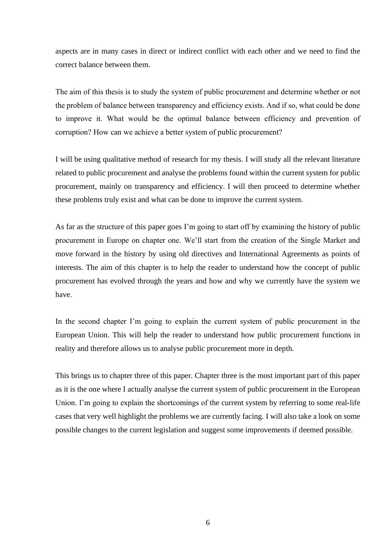aspects are in many cases in direct or indirect conflict with each other and we need to find the correct balance between them.

The aim of this thesis is to study the system of public procurement and determine whether or not the problem of balance between transparency and efficiency exists. And if so, what could be done to improve it. What would be the optimal balance between efficiency and prevention of corruption? How can we achieve a better system of public procurement?

I will be using qualitative method of research for my thesis. I will study all the relevant literature related to public procurement and analyse the problems found within the current system for public procurement, mainly on transparency and efficiency. I will then proceed to determine whether these problems truly exist and what can be done to improve the current system.

As far as the structure of this paper goes I'm going to start off by examining the history of public procurement in Europe on chapter one. We'll start from the creation of the Single Market and move forward in the history by using old directives and International Agreements as points of interests. The aim of this chapter is to help the reader to understand how the concept of public procurement has evolved through the years and how and why we currently have the system we have.

In the second chapter I'm going to explain the current system of public procurement in the European Union. This will help the reader to understand how public procurement functions in reality and therefore allows us to analyse public procurement more in depth.

This brings us to chapter three of this paper. Chapter three is the most important part of this paper as it is the one where I actually analyse the current system of public procurement in the European Union. I'm going to explain the shortcomings of the current system by referring to some real-life cases that very well highlight the problems we are currently facing. I will also take a look on some possible changes to the current legislation and suggest some improvements if deemed possible.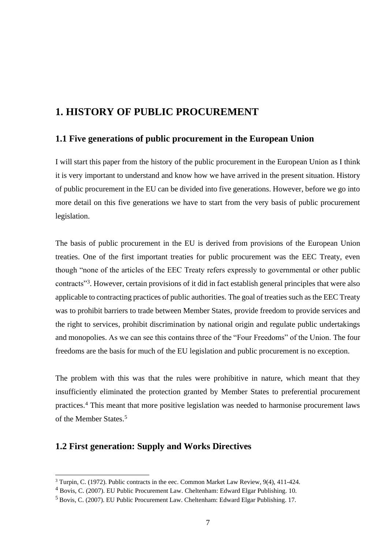### <span id="page-6-0"></span>**1. HISTORY OF PUBLIC PROCUREMENT**

#### <span id="page-6-1"></span>**1.1 Five generations of public procurement in the European Union**

I will start this paper from the history of the public procurement in the European Union as I think it is very important to understand and know how we have arrived in the present situation. History of public procurement in the EU can be divided into five generations. However, before we go into more detail on this five generations we have to start from the very basis of public procurement legislation.

The basis of public procurement in the EU is derived from provisions of the European Union treaties. One of the first important treaties for public procurement was the EEC Treaty, even though "none of the articles of the EEC Treaty refers expressly to governmental or other public contracts"<sup>3</sup>. However, certain provisions of it did in fact establish general principles that were also applicable to contracting practices of public authorities. The goal of treaties such as the EEC Treaty was to prohibit barriers to trade between Member States, provide freedom to provide services and the right to services, prohibit discrimination by national origin and regulate public undertakings and monopolies. As we can see this contains three of the "Four Freedoms" of the Union. The four freedoms are the basis for much of the EU legislation and public procurement is no exception.

The problem with this was that the rules were prohibitive in nature, which meant that they insufficiently eliminated the protection granted by Member States to preferential procurement practices.<sup>4</sup> This meant that more positive legislation was needed to harmonise procurement laws of the Member States.<sup>5</sup>

#### <span id="page-6-2"></span>**1.2 First generation: Supply and Works Directives**

<sup>&</sup>lt;sup>3</sup> Turpin, C. (1972). Public contracts in the eec. Common Market Law Review, 9(4), 411-424.

<sup>4</sup> Bovis, C. (2007). EU Public Procurement Law. Cheltenham: Edward Elgar Publishing. 10.

<sup>5</sup> Bovis, C. (2007). EU Public Procurement Law. Cheltenham: Edward Elgar Publishing. 17.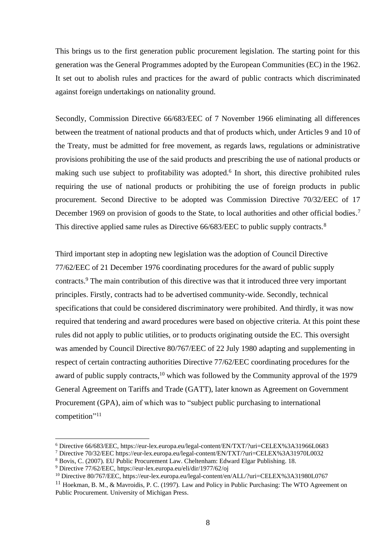This brings us to the first generation public procurement legislation. The starting point for this generation was the General Programmes adopted by the European Communities (EC) in the 1962. It set out to abolish rules and practices for the award of public contracts which discriminated against foreign undertakings on nationality ground.

Secondly, Commission Directive 66/683/EEC of 7 November 1966 eliminating all differences between the treatment of national products and that of products which, under Articles 9 and 10 of the Treaty, must be admitted for free movement, as regards laws, regulations or administrative provisions prohibiting the use of the said products and prescribing the use of national products or making such use subject to profitability was adopted.<sup>6</sup> In short, this directive prohibited rules requiring the use of national products or prohibiting the use of foreign products in public procurement. Second Directive to be adopted was Commission Directive 70/32/EEC of 17 December 1969 on provision of goods to the State, to local authorities and other official bodies.<sup>7</sup> This directive applied same rules as Directive 66/683/EEC to public supply contracts.<sup>8</sup>

Third important step in adopting new legislation was the adoption of Council Directive 77/62/EEC of 21 December 1976 coordinating procedures for the award of public supply contracts. <sup>9</sup> The main contribution of this directive was that it introduced three very important principles. Firstly, contracts had to be advertised community-wide. Secondly, technical specifications that could be considered discriminatory were prohibited. And thirdly, it was now required that tendering and award procedures were based on objective criteria. At this point these rules did not apply to public utilities, or to products originating outside the EC. This oversight was amended by Council Directive 80/767/EEC of 22 July 1980 adapting and supplementing in respect of certain contracting authorities Directive 77/62/EEC coordinating procedures for the award of public supply contracts,<sup>10</sup> which was followed by the Community approval of the 1979 General Agreement on Tariffs and Trade (GATT), later known as Agreement on Government Procurement (GPA), aim of which was to "subject public purchasing to international competition" 11

<sup>6</sup> Directive 66/683/EEC, https://eur-lex.europa.eu/legal-content/EN/TXT/?uri=CELEX%3A31966L0683

<sup>7</sup> Directive 70/32/EEC https://eur-lex.europa.eu/legal-content/EN/TXT/?uri=CELEX%3A31970L0032

<sup>8</sup> Bovis, C. (2007). EU Public Procurement Law. Cheltenham: Edward Elgar Publishing. 18.

<sup>9</sup> Directive 77/62/EEC, https://eur-lex.europa.eu/eli/dir/1977/62/oj

<sup>10</sup> Directive 80/767/EEC, https://eur-lex.europa.eu/legal-content/en/ALL/?uri=CELEX%3A31980L0767

<sup>&</sup>lt;sup>11</sup> Hoekman, B. M., & Mavroidis, P. C. (1997). Law and Policy in Public Purchasing: The WTO Agreement on Public Procurement. University of Michigan Press.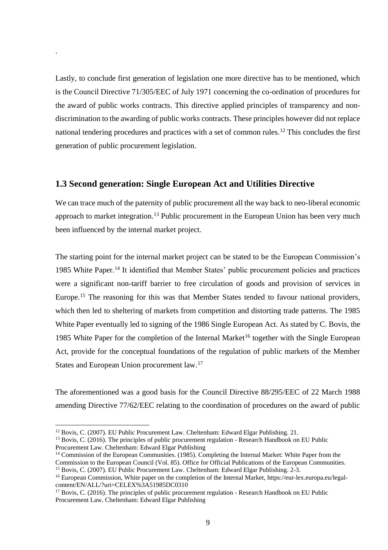Lastly, to conclude first generation of legislation one more directive has to be mentioned, which is the Council Directive 71/305/EEC of July 1971 concerning the co-ordination of procedures for the award of public works contracts. This directive applied principles of transparency and nondiscrimination to the awarding of public works contracts. These principles however did not replace national tendering procedures and practices with a set of common rules.<sup>12</sup> This concludes the first generation of public procurement legislation.

#### <span id="page-8-0"></span>**1.3 Second generation: Single European Act and Utilities Directive**

.

We can trace much of the paternity of public procurement all the way back to neo-liberal economic approach to market integration.<sup>13</sup> Public procurement in the European Union has been very much been influenced by the internal market project.

The starting point for the internal market project can be stated to be the European Commission's 1985 White Paper.<sup>14</sup> It identified that Member States' public procurement policies and practices were a significant non-tariff barrier to free circulation of goods and provision of services in Europe.<sup>15</sup> The reasoning for this was that Member States tended to favour national providers, which then led to sheltering of markets from competition and distorting trade patterns. The 1985 White Paper eventually led to signing of the 1986 Single European Act. As stated by C. Bovis, the 1985 White Paper for the completion of the Internal Market<sup>16</sup> together with the Single European Act, provide for the conceptual foundations of the regulation of public markets of the Member States and European Union procurement law.<sup>17</sup>

The aforementioned was a good basis for the Council Directive 88/295/EEC of 22 March 1988 amending Directive 77/62/EEC relating to the coordination of procedures on the award of public

<sup>&</sup>lt;sup>12</sup> Bovis, C. (2007). EU Public Procurement Law. Cheltenham: Edward Elgar Publishing. 21.

 $<sup>13</sup>$  Bovis, C. (2016). The principles of public procurement regulation - Research Handbook on EU Public</sup> Procurement Law. Cheltenham: Edward Elgar Publishing

<sup>&</sup>lt;sup>14</sup> Commission of the European Communities. (1985). Completing the Internal Market: White Paper from the Commission to the European Council (Vol. 85). Office for Official Publications of the European Communities. <sup>15</sup> Bovis, C. (2007). EU Public Procurement Law. Cheltenham: Edward Elgar Publishing. 2-3.

<sup>&</sup>lt;sup>16</sup> European Commission, White paper on the completion of the Internal Market, https://eur-lex.europa.eu/legalcontent/EN/ALL/?uri=CELEX%3A51985DC0310

 $17$  Bovis, C. (2016). The principles of public procurement regulation - Research Handbook on EU Public Procurement Law. Cheltenham: Edward Elgar Publishing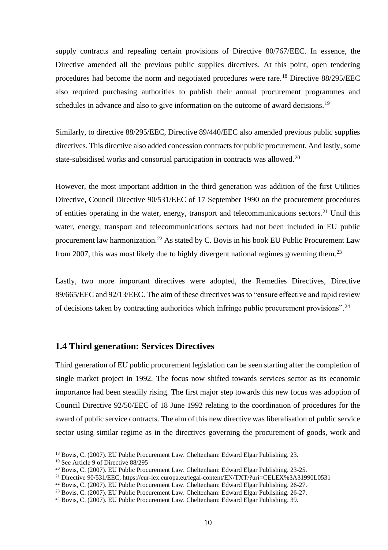supply contracts and repealing certain provisions of Directive 80/767/EEC. In essence, the Directive amended all the previous public supplies directives. At this point, open tendering procedures had become the norm and negotiated procedures were rare.<sup>18</sup> Directive 88/295/EEC also required purchasing authorities to publish their annual procurement programmes and schedules in advance and also to give information on the outcome of award decisions.<sup>19</sup>

Similarly, to directive 88/295/EEC, Directive 89/440/EEC also amended previous public supplies directives. This directive also added concession contracts for public procurement. And lastly, some state-subsidised works and consortial participation in contracts was allowed.<sup>20</sup>

However, the most important addition in the third generation was addition of the first Utilities Directive, Council Directive 90/531/EEC of 17 September 1990 on the procurement procedures of entities operating in the water, energy, transport and telecommunications sectors. <sup>21</sup> Until this water, energy, transport and telecommunications sectors had not been included in EU public procurement law harmonization.<sup>22</sup> As stated by C. Bovis in his book EU Public Procurement Law from 2007, this was most likely due to highly divergent national regimes governing them.<sup>23</sup>

Lastly, two more important directives were adopted, the Remedies Directives, Directive 89/665/EEC and 92/13/EEC. The aim of these directives was to "ensure effective and rapid review of decisions taken by contracting authorities which infringe public procurement provisions".<sup>24</sup>

#### <span id="page-9-0"></span>**1.4 Third generation: Services Directives**

Third generation of EU public procurement legislation can be seen starting after the completion of single market project in 1992. The focus now shifted towards services sector as its economic importance had been steadily rising. The first major step towards this new focus was adoption of Council Directive 92/50/EEC of 18 June 1992 relating to the coordination of procedures for the award of public service contracts. The aim of this new directive was liberalisation of public service sector using similar regime as in the directives governing the procurement of goods, work and

<sup>18</sup> Bovis, C. (2007). EU Public Procurement Law. Cheltenham: Edward Elgar Publishing. 23.

<sup>&</sup>lt;sup>19</sup> See Article 9 of Directive 88/295

<sup>20</sup> Bovis, C. (2007). EU Public Procurement Law. Cheltenham: Edward Elgar Publishing. 23-25.

<sup>&</sup>lt;sup>21</sup> Directive 90/531/EEC, https://eur-lex.europa.eu/legal-content/EN/TXT/?uri=CELEX%3A31990L0531

<sup>22</sup> Bovis, C. (2007). EU Public Procurement Law. Cheltenham: Edward Elgar Publishing. 26-27.

<sup>&</sup>lt;sup>23</sup> Bovis, C. (2007). EU Public Procurement Law. Cheltenham: Edward Elgar Publishing. 26-27.

<sup>&</sup>lt;sup>24</sup> Bovis, C. (2007). EU Public Procurement Law. Cheltenham: Edward Elgar Publishing. 39.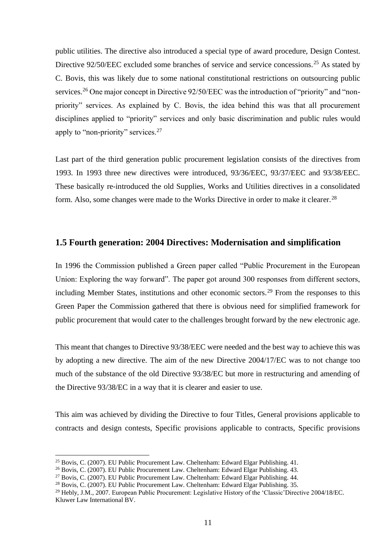public utilities. The directive also introduced a special type of award procedure, Design Contest. Directive 92/50/EEC excluded some branches of service and service concessions.<sup>25</sup> As stated by C. Bovis, this was likely due to some national constitutional restrictions on outsourcing public services.<sup>26</sup> One major concept in Directive 92/50/EEC was the introduction of "priority" and "nonpriority" services. As explained by C. Bovis, the idea behind this was that all procurement disciplines applied to "priority" services and only basic discrimination and public rules would apply to "non-priority" services.<sup>27</sup>

Last part of the third generation public procurement legislation consists of the directives from 1993. In 1993 three new directives were introduced, 93/36/EEC, 93/37/EEC and 93/38/EEC. These basically re-introduced the old Supplies, Works and Utilities directives in a consolidated form. Also, some changes were made to the Works Directive in order to make it clearer.<sup>28</sup>

#### <span id="page-10-0"></span>**1.5 Fourth generation: 2004 Directives: Modernisation and simplification**

In 1996 the Commission published a Green paper called "Public Procurement in the European Union: Exploring the way forward". The paper got around 300 responses from different sectors, including Member States, institutions and other economic sectors.<sup>29</sup> From the responses to this Green Paper the Commission gathered that there is obvious need for simplified framework for public procurement that would cater to the challenges brought forward by the new electronic age.

This meant that changes to Directive 93/38/EEC were needed and the best way to achieve this was by adopting a new directive. The aim of the new Directive 2004/17/EC was to not change too much of the substance of the old Directive 93/38/EC but more in restructuring and amending of the Directive 93/38/EC in a way that it is clearer and easier to use.

This aim was achieved by dividing the Directive to four Titles, General provisions applicable to contracts and design contests, Specific provisions applicable to contracts, Specific provisions

<sup>&</sup>lt;sup>25</sup> Bovis, C. (2007). EU Public Procurement Law. Cheltenham: Edward Elgar Publishing. 41.

<sup>&</sup>lt;sup>26</sup> Bovis, C. (2007). EU Public Procurement Law. Cheltenham: Edward Elgar Publishing. 43.

<sup>&</sup>lt;sup>27</sup> Bovis, C. (2007). EU Public Procurement Law. Cheltenham: Edward Elgar Publishing. 44.

<sup>&</sup>lt;sup>28</sup> Bovis, C. (2007). EU Public Procurement Law. Cheltenham: Edward Elgar Publishing. 35.

<sup>&</sup>lt;sup>29</sup> Hebly, J.M., 2007. European Public Procurement: Legislative History of the 'Classic'Directive 2004/18/EC. Kluwer Law International BV.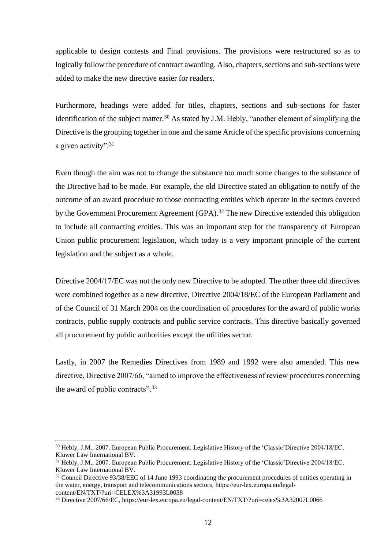applicable to design contests and Final provisions. The provisions were restructured so as to logically follow the procedure of contract awarding. Also, chapters, sections and sub-sections were added to make the new directive easier for readers.

Furthermore, headings were added for titles, chapters, sections and sub-sections for faster identification of the subject matter.<sup>30</sup> As stated by J.M. Hebly, "another element of simplifying the Directive is the grouping together in one and the same Article of the specific provisions concerning a given activity".<sup>31</sup>

Even though the aim was not to change the substance too much some changes to the substance of the Directive had to be made. For example, the old Directive stated an obligation to notify of the outcome of an award procedure to those contracting entities which operate in the sectors covered by the Government Procurement Agreement (GPA).<sup>32</sup> The new Directive extended this obligation to include all contracting entities. This was an important step for the transparency of European Union public procurement legislation, which today is a very important principle of the current legislation and the subject as a whole.

Directive 2004/17/EC was not the only new Directive to be adopted. The other three old directives were combined together as a new directive, Directive 2004/18/EC of the European Parliament and of the Council of 31 March 2004 on the coordination of procedures for the award of public works contracts, public supply contracts and public service contracts. This directive basically governed all procurement by public authorities except the utilities sector.

Lastly, in 2007 the Remedies Directives from 1989 and 1992 were also amended. This new directive, Directive 2007/66, "aimed to improve the effectiveness of review procedures concerning the award of public contracts".<sup>33</sup>

<sup>30</sup> Hebly, J.M., 2007. European Public Procurement: Legislative History of the 'Classic'Directive 2004/18/EC. Kluwer Law International BV.

<sup>&</sup>lt;sup>31</sup> Hebly, J.M., 2007. European Public Procurement: Legislative History of the 'Classic'Directive 2004/18/EC. Kluwer Law International BV.

<sup>&</sup>lt;sup>32</sup> Council Directive 93/38/EEC of 14 June 1993 coordinating the procurement procedures of entities operating in the water, energy, transport and telecommunications sectors, https://eur-lex.europa.eu/legalcontent/EN/TXT/?uri=CELEX%3A31993L0038

<sup>33</sup> Directive 2007/66/EC, https://eur-lex.europa.eu/legal-content/EN/TXT/?uri=celex%3A32007L0066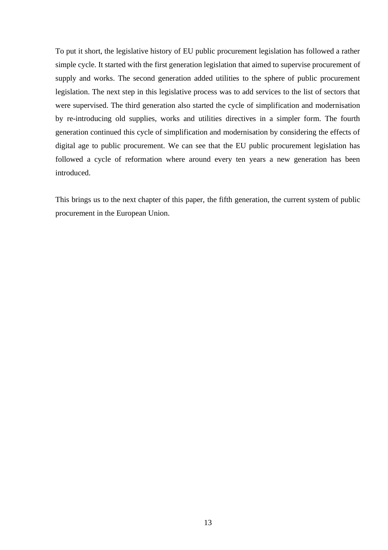To put it short, the legislative history of EU public procurement legislation has followed a rather simple cycle. It started with the first generation legislation that aimed to supervise procurement of supply and works. The second generation added utilities to the sphere of public procurement legislation. The next step in this legislative process was to add services to the list of sectors that were supervised. The third generation also started the cycle of simplification and modernisation by re-introducing old supplies, works and utilities directives in a simpler form. The fourth generation continued this cycle of simplification and modernisation by considering the effects of digital age to public procurement. We can see that the EU public procurement legislation has followed a cycle of reformation where around every ten years a new generation has been introduced.

This brings us to the next chapter of this paper, the fifth generation, the current system of public procurement in the European Union.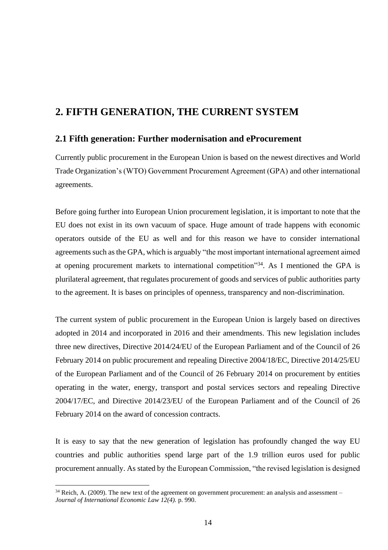### <span id="page-13-0"></span>**2. FIFTH GENERATION, THE CURRENT SYSTEM**

#### <span id="page-13-1"></span>**2.1 Fifth generation: Further modernisation and eProcurement**

Currently public procurement in the European Union is based on the newest directives and World Trade Organization's (WTO) Government Procurement Agreement (GPA) and other international agreements.

Before going further into European Union procurement legislation, it is important to note that the EU does not exist in its own vacuum of space. Huge amount of trade happens with economic operators outside of the EU as well and for this reason we have to consider international agreements such as the GPA, which is arguably "the most important international agreement aimed at opening procurement markets to international competition"<sup>34</sup>. As I mentioned the GPA is plurilateral agreement, that regulates procurement of goods and services of public authorities party to the agreement. It is bases on principles of openness, transparency and non-discrimination.

The current system of public procurement in the European Union is largely based on directives adopted in 2014 and incorporated in 2016 and their amendments. This new legislation includes three new directives, Directive 2014/24/EU of the European Parliament and of the Council of 26 February 2014 on public procurement and repealing Directive 2004/18/EC, Directive 2014/25/EU of the European Parliament and of the Council of 26 February 2014 on procurement by entities operating in the water, energy, transport and postal services sectors and repealing Directive 2004/17/EC, and Directive 2014/23/EU of the European Parliament and of the Council of 26 February 2014 on the award of concession contracts.

It is easy to say that the new generation of legislation has profoundly changed the way EU countries and public authorities spend large part of the 1.9 trillion euros used for public procurement annually. As stated by the European Commission, "the revised legislation is designed

 $34$  Reich, A. (2009). The new text of the agreement on government procurement: an analysis and assessment – *Journal of International Economic Law 12(4).* p. 990.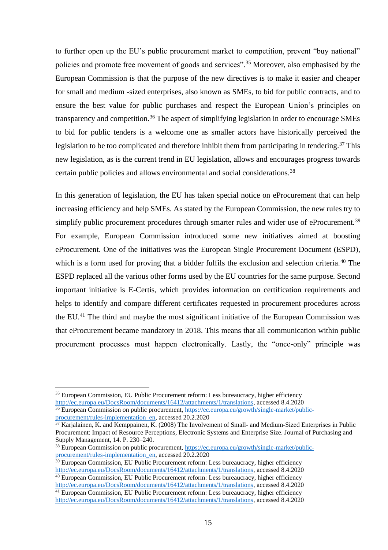to further open up the EU's public procurement market to competition, prevent "buy national" policies and promote free movement of goods and services".<sup>35</sup> Moreover, also emphasised by the European Commission is that the purpose of the new directives is to make it easier and cheaper for small and medium -sized enterprises, also known as SMEs, to bid for public contracts, and to ensure the best value for public purchases and respect the European Union's principles on transparency and competition.<sup>36</sup> The aspect of simplifying legislation in order to encourage SMEs to bid for public tenders is a welcome one as smaller actors have historically perceived the legislation to be too complicated and therefore inhibit them from participating in tendering.<sup>37</sup> This new legislation, as is the current trend in EU legislation, allows and encourages progress towards certain public policies and allows environmental and social considerations.<sup>38</sup>

In this generation of legislation, the EU has taken special notice on eProcurement that can help increasing efficiency and help SMEs. As stated by the European Commission, the new rules try to simplify public procurement procedures through smarter rules and wider use of eProcurement.<sup>39</sup> For example, European Commission introduced some new initiatives aimed at boosting eProcurement. One of the initiatives was the European Single Procurement Document (ESPD), which is a form used for proving that a bidder fulfils the exclusion and selection criteria.<sup>40</sup> The ESPD replaced all the various other forms used by the EU countries for the same purpose. Second important initiative is E-Certis, which provides information on certification requirements and helps to identify and compare different certificates requested in procurement procedures across the EU.<sup>41</sup> The third and maybe the most significant initiative of the European Commission was that eProcurement became mandatory in 2018. This means that all communication within public procurement processes must happen electronically. Lastly, the "once-only" principle was

<sup>&</sup>lt;sup>35</sup> European Commission, EU Public Procurement reform: Less bureaucracy, higher efficiency [http://ec.europa.eu/DocsRoom/documents/16412/attachments/1/translations,](http://ec.europa.eu/DocsRoom/documents/16412/attachments/1/translations) accessed 8.4.2020 <sup>36</sup> European Commission on public procurement, [https://ec.europa.eu/growth/single-market/public](https://ec.europa.eu/growth/single-market/public-procurement/rules-implementation_en)[procurement/rules-implementation\\_en,](https://ec.europa.eu/growth/single-market/public-procurement/rules-implementation_en) accessed 20.2.2020

 $37$  Karjalainen, K. and Kemppainen, K. (2008) The Involvement of Small- and Medium-Sized Enterprises in Public Procurement: Impact of Resource Perceptions, Electronic Systems and Enterprise Size. Journal of Purchasing and Supply Management, 14. P. 230–240.

<sup>38</sup> European Commission on public procurement, [https://ec.europa.eu/growth/single-market/public](https://ec.europa.eu/growth/single-market/public-procurement/rules-implementation_en)[procurement/rules-implementation\\_en,](https://ec.europa.eu/growth/single-market/public-procurement/rules-implementation_en) accessed 20.2.2020

 $39$  European Commission, EU Public Procurement reform: Less bureaucracy, higher efficiency [http://ec.europa.eu/DocsRoom/documents/16412/attachments/1/translations,](http://ec.europa.eu/DocsRoom/documents/16412/attachments/1/translations) accessed 8.4.2020 <sup>40</sup> European Commission, EU Public Procurement reform: Less bureaucracy, higher efficiency

[http://ec.europa.eu/DocsRoom/documents/16412/attachments/1/translations,](http://ec.europa.eu/DocsRoom/documents/16412/attachments/1/translations) accessed 8.4.2020 <sup>41</sup> European Commission, EU Public Procurement reform: Less bureaucracy, higher efficiency

[http://ec.europa.eu/DocsRoom/documents/16412/attachments/1/translations,](http://ec.europa.eu/DocsRoom/documents/16412/attachments/1/translations) accessed 8.4.2020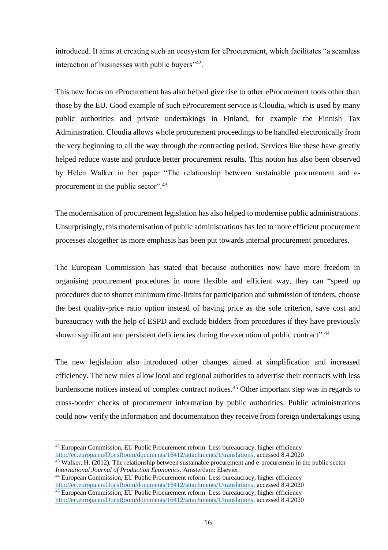introduced. It aims at creating such an ecosystem for eProcurement, which facilitates "a seamless interaction of businesses with public buyers"<sup>42</sup>.

This new focus on eProcurement has also helped give rise to other eProcurement tools other than those by the EU. Good example of such eProcurement service is Cloudia, which is used by many public authorities and private undertakings in Finland, for example the Finnish Tax Administration. Cloudia allows whole procurement proceedings to be handled electronically from the very beginning to all the way through the contracting period. Services like these have greatly helped reduce waste and produce better procurement results. This notion has also been observed by Helen Walker in her paper "The relationship between sustainable procurement and eprocurement in the public sector".<sup>43</sup>

The modernisation of procurement legislation has also helped to modernise public administrations. Unsurprisingly, this modernisation of public administrations has led to more efficient procurement processes altogether as more emphasis has been put towards internal procurement procedures.

The European Commission has stated that because authorities now have more freedom in organising procurement procedures in more flexible and efficient way, they can "speed up procedures due to shorter minimum time-limits for participation and submission of tenders, choose the best quality-price ratio option instead of having price as the sole criterion, save cost and bureaucracy with the help of ESPD and exclude bidders from procedures if they have previously shown significant and persistent deficiencies during the execution of public contract".<sup>44</sup>

The new legislation also introduced other changes aimed at simplification and increased efficiency. The new rules allow local and regional authorities to advertise their contracts with less burdensome notices instead of complex contract notices.<sup>45</sup> Other important step was in regards to cross-border checks of procurement information by public authorities. Public administrations could now verify the information and documentation they receive from foreign undertakings using

<sup>42</sup> European Commission, EU Public Procurement reform: Less bureaucracy, higher efficiency [http://ec.europa.eu/DocsRoom/documents/16412/attachments/1/translations,](http://ec.europa.eu/DocsRoom/documents/16412/attachments/1/translations) accessed 8.4.2020

 $^{43}$  Walker, H. (2012). The relationship between sustainable procurement and e-procurement in the public sector – *International Journal of Production Economics.* Amsterdam: Elsevier.

<sup>44</sup> European Commission, EU Public Procurement reform: Less bureaucracy, higher efficiency [http://ec.europa.eu/DocsRoom/documents/16412/attachments/1/translations,](http://ec.europa.eu/DocsRoom/documents/16412/attachments/1/translations) accessed 8.4.2020 <sup>45</sup> European Commission, EU Public Procurement reform: Less bureaucracy, higher efficiency

[http://ec.europa.eu/DocsRoom/documents/16412/attachments/1/translations,](http://ec.europa.eu/DocsRoom/documents/16412/attachments/1/translations) accessed 8.4.2020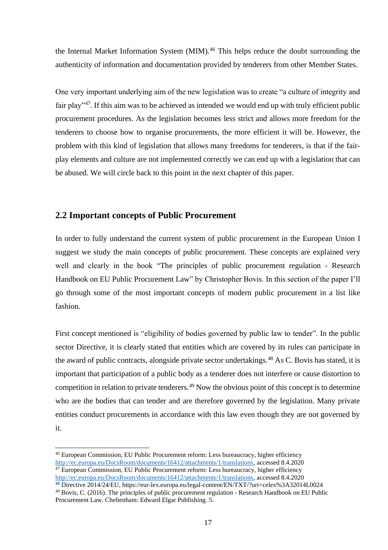the Internal Market Information System (MIM).<sup>46</sup> This helps reduce the doubt surrounding the authenticity of information and documentation provided by tenderers from other Member States.

One very important underlying aim of the new legislation was to create "a culture of integrity and fair play"<sup>47</sup>. If this aim was to be achieved as intended we would end up with truly efficient public procurement procedures. As the legislation becomes less strict and allows more freedom for the tenderers to choose how to organise procurements, the more efficient it will be. However, the problem with this kind of legislation that allows many freedoms for tenderers, is that if the fairplay elements and culture are not implemented correctly we can end up with a legislation that can be abused. We will circle back to this point in the next chapter of this paper.

#### <span id="page-16-0"></span>**2.2 Important concepts of Public Procurement**

In order to fully understand the current system of public procurement in the European Union I suggest we study the main concepts of public procurement. These concepts are explained very well and clearly in the book "The principles of public procurement regulation - Research Handbook on EU Public Procurement Law" by Christopher Bovis. In this section of the paper I'll go through some of the most important concepts of modern public procurement in a list like fashion.

First concept mentioned is "eligibility of bodies governed by public law to tender". In the public sector Directive, it is clearly stated that entities which are covered by its rules can participate in the award of public contracts, alongside private sector undertakings.<sup>48</sup> As C. Bovis has stated, it is important that participation of a public body as a tenderer does not interfere or cause distortion to competition in relation to private tenderers.<sup>49</sup> Now the obvious point of this concept is to determine who are the bodies that can tender and are therefore governed by the legislation. Many private entities conduct procurements in accordance with this law even though they are not governed by it.

<sup>46</sup> European Commission, EU Public Procurement reform: Less bureaucracy, higher efficiency [http://ec.europa.eu/DocsRoom/documents/16412/attachments/1/translations,](http://ec.europa.eu/DocsRoom/documents/16412/attachments/1/translations) accessed 8.4.2020  $47$  European Commission, EU Public Procurement reform: Less bureaucracy, higher efficiency [http://ec.europa.eu/DocsRoom/documents/16412/attachments/1/translations,](http://ec.europa.eu/DocsRoom/documents/16412/attachments/1/translations) accessed 8.4.2020

<sup>48</sup> Directive 2014/24/EU, https://eur-lex.europa.eu/legal-content/EN/TXT/?uri=celex%3A32014L0024

<sup>49</sup> Bovis, C. (2016). The principles of public procurement regulation - Research Handbook on EU Public Procurement Law. Cheltenham: Edward Elgar Publishing. 5.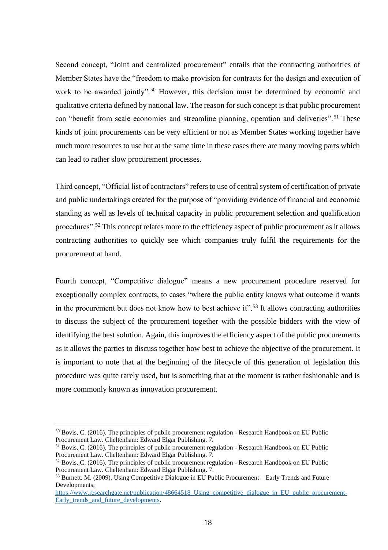Second concept, "Joint and centralized procurement" entails that the contracting authorities of Member States have the "freedom to make provision for contracts for the design and execution of work to be awarded jointly".<sup>50</sup> However, this decision must be determined by economic and qualitative criteria defined by national law. The reason for such concept is that public procurement can "benefit from scale economies and streamline planning, operation and deliveries".<sup>51</sup> These kinds of joint procurements can be very efficient or not as Member States working together have much more resources to use but at the same time in these cases there are many moving parts which can lead to rather slow procurement processes.

Third concept, "Official list of contractors" refers to use of central system of certification of private and public undertakings created for the purpose of "providing evidence of financial and economic standing as well as levels of technical capacity in public procurement selection and qualification procedures".<sup>52</sup> This concept relates more to the efficiency aspect of public procurement as it allows contracting authorities to quickly see which companies truly fulfil the requirements for the procurement at hand.

Fourth concept, "Competitive dialogue" means a new procurement procedure reserved for exceptionally complex contracts, to cases "where the public entity knows what outcome it wants in the procurement but does not know how to best achieve it".<sup>53</sup> It allows contracting authorities to discuss the subject of the procurement together with the possible bidders with the view of identifying the best solution. Again, this improves the efficiency aspect of the public procurements as it allows the parties to discuss together how best to achieve the objective of the procurement. It is important to note that at the beginning of the lifecycle of this generation of legislation this procedure was quite rarely used, but is something that at the moment is rather fashionable and is more commonly known as innovation procurement.

<sup>50</sup> Bovis, C. (2016). The principles of public procurement regulation - Research Handbook on EU Public Procurement Law. Cheltenham: Edward Elgar Publishing. 7.

<sup>51</sup> Bovis, C. (2016). The principles of public procurement regulation - Research Handbook on EU Public Procurement Law. Cheltenham: Edward Elgar Publishing. 7.

<sup>&</sup>lt;sup>52</sup> Bovis, C. (2016). The principles of public procurement regulation - Research Handbook on EU Public Procurement Law. Cheltenham: Edward Elgar Publishing. 7.

<sup>53</sup> Burnett. M. (2009). Using Competitive Dialogue in EU Public Procurement – Early Trends and Future Developments,

https://www.researchgate.net/publication/48664518 Using competitive dialogue in EU public procurement-[Early\\_trends\\_and\\_future\\_developments.](https://www.researchgate.net/publication/48664518_Using_competitive_dialogue_in_EU_public_procurement-Early_trends_and_future_developments)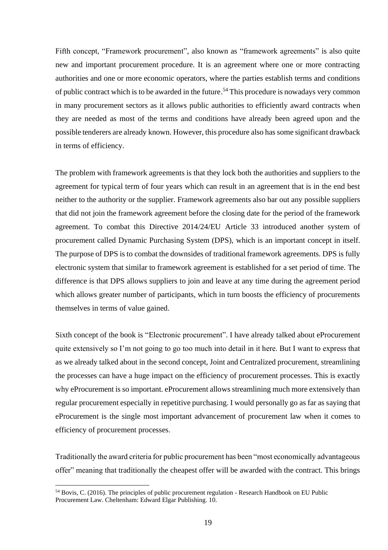Fifth concept, "Framework procurement", also known as "framework agreements" is also quite new and important procurement procedure. It is an agreement where one or more contracting authorities and one or more economic operators, where the parties establish terms and conditions of public contract which is to be awarded in the future. <sup>54</sup> This procedure is nowadays very common in many procurement sectors as it allows public authorities to efficiently award contracts when they are needed as most of the terms and conditions have already been agreed upon and the possible tenderers are already known. However, this procedure also has some significant drawback in terms of efficiency.

The problem with framework agreements is that they lock both the authorities and suppliers to the agreement for typical term of four years which can result in an agreement that is in the end best neither to the authority or the supplier. Framework agreements also bar out any possible suppliers that did not join the framework agreement before the closing date for the period of the framework agreement. To combat this Directive 2014/24/EU Article 33 introduced another system of procurement called Dynamic Purchasing System (DPS), which is an important concept in itself. The purpose of DPS is to combat the downsides of traditional framework agreements. DPS is fully electronic system that similar to framework agreement is established for a set period of time. The difference is that DPS allows suppliers to join and leave at any time during the agreement period which allows greater number of participants, which in turn boosts the efficiency of procurements themselves in terms of value gained.

Sixth concept of the book is "Electronic procurement". I have already talked about eProcurement quite extensively so I'm not going to go too much into detail in it here. But I want to express that as we already talked about in the second concept, Joint and Centralized procurement, streamlining the processes can have a huge impact on the efficiency of procurement processes. This is exactly why eProcurement is so important. eProcurement allows streamlining much more extensively than regular procurement especially in repetitive purchasing. I would personally go as far as saying that eProcurement is the single most important advancement of procurement law when it comes to efficiency of procurement processes.

Traditionally the award criteria for public procurement has been "most economically advantageous offer" meaning that traditionally the cheapest offer will be awarded with the contract. This brings

<sup>54</sup> Bovis, C. (2016). The principles of public procurement regulation - Research Handbook on EU Public Procurement Law. Cheltenham: Edward Elgar Publishing. 10.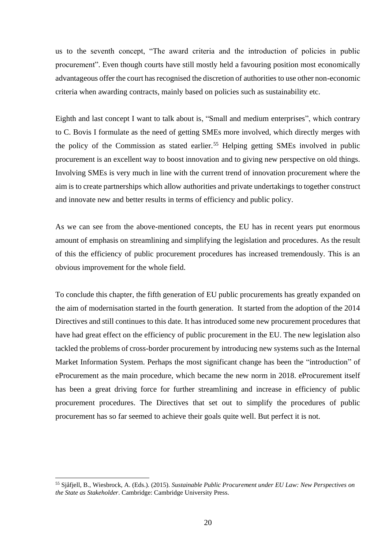us to the seventh concept, "The award criteria and the introduction of policies in public procurement". Even though courts have still mostly held a favouring position most economically advantageous offer the court has recognised the discretion of authorities to use other non-economic criteria when awarding contracts, mainly based on policies such as sustainability etc.

Eighth and last concept I want to talk about is, "Small and medium enterprises", which contrary to C. Bovis I formulate as the need of getting SMEs more involved, which directly merges with the policy of the Commission as stated earlier.<sup>55</sup> Helping getting SMEs involved in public procurement is an excellent way to boost innovation and to giving new perspective on old things. Involving SMEs is very much in line with the current trend of innovation procurement where the aim is to create partnerships which allow authorities and private undertakings to together construct and innovate new and better results in terms of efficiency and public policy.

As we can see from the above-mentioned concepts, the EU has in recent years put enormous amount of emphasis on streamlining and simplifying the legislation and procedures. As the result of this the efficiency of public procurement procedures has increased tremendously. This is an obvious improvement for the whole field.

To conclude this chapter, the fifth generation of EU public procurements has greatly expanded on the aim of modernisation started in the fourth generation. It started from the adoption of the 2014 Directives and still continues to this date. It has introduced some new procurement procedures that have had great effect on the efficiency of public procurement in the EU. The new legislation also tackled the problems of cross-border procurement by introducing new systems such as the Internal Market Information System. Perhaps the most significant change has been the "introduction" of eProcurement as the main procedure, which became the new norm in 2018. eProcurement itself has been a great driving force for further streamlining and increase in efficiency of public procurement procedures. The Directives that set out to simplify the procedures of public procurement has so far seemed to achieve their goals quite well. But perfect it is not.

<sup>55</sup> Sjåfjell, B., Wiesbrock, A. (Eds.). (2015). *Sustainable Public Procurement under EU Law: New Perspectives on the State as Stakeholder*. Cambridge: Cambridge University Press.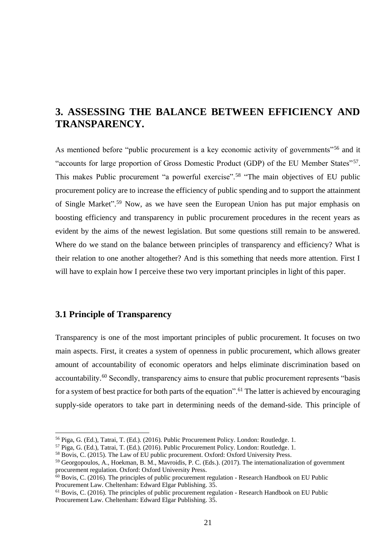# <span id="page-20-0"></span>**3. ASSESSING THE BALANCE BETWEEN EFFICIENCY AND TRANSPARENCY.**

As mentioned before "public procurement is a key economic activity of governments"<sup>56</sup> and it "accounts for large proportion of Gross Domestic Product (GDP) of the EU Member States"<sup>57</sup>. This makes Public procurement "a powerful exercise".<sup>58</sup> "The main objectives of EU public procurement policy are to increase the efficiency of public spending and to support the attainment of Single Market". <sup>59</sup> Now, as we have seen the European Union has put major emphasis on boosting efficiency and transparency in public procurement procedures in the recent years as evident by the aims of the newest legislation. But some questions still remain to be answered. Where do we stand on the balance between principles of transparency and efficiency? What is their relation to one another altogether? And is this something that needs more attention. First I will have to explain how I perceive these two very important principles in light of this paper.

#### <span id="page-20-1"></span>**3.1 Principle of Transparency**

Transparency is one of the most important principles of public procurement. It focuses on two main aspects. First, it creates a system of openness in public procurement, which allows greater amount of accountability of economic operators and helps eliminate discrimination based on accountability.<sup>60</sup> Secondly, transparency aims to ensure that public procurement represents "basis for a system of best practice for both parts of the equation".<sup>61</sup> The latter is achieved by encouraging supply-side operators to take part in determining needs of the demand-side. This principle of

<sup>56</sup> Piga, G. (Ed.), Tatrai, T. (Ed.). (2016). Public Procurement Policy. London: Routledge. 1.

<sup>57</sup> Piga, G. (Ed.), Tatrai, T. (Ed.). (2016). Public Procurement Policy. London: Routledge. 1.

<sup>58</sup> Bovis, C. (2015). The Law of EU public procurement. Oxford: Oxford University Press.

<sup>59</sup> Georgopoulos, A., Hoekman, B. M., Mavroidis, P. C. (Eds.). (2017). The internationalization of government procurement regulation. Oxford: Oxford University Press.

 $60$  Bovis, C. (2016). The principles of public procurement regulation - Research Handbook on EU Public Procurement Law. Cheltenham: Edward Elgar Publishing. 35.

 $<sup>61</sup>$  Bovis, C. (2016). The principles of public procurement regulation - Research Handbook on EU Public</sup> Procurement Law. Cheltenham: Edward Elgar Publishing. 35.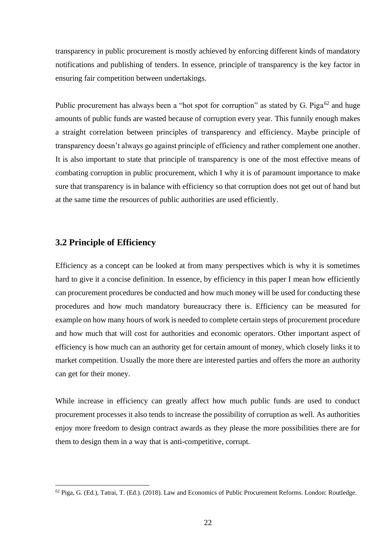transparency in public procurement is mostly achieved by enforcing different kinds of mandatory notifications and publishing of tenders. In essence, principle of transparency is the key factor in ensuring fair competition between undertakings.

Public procurement has always been a "hot spot for corruption" as stated by G. Piga<sup>62</sup> and huge amounts of public funds are wasted because of corruption every year. This funnily enough makes a straight correlation between principles of transparency and efficiency. Maybe principle of transparency doesn't always go against principle of efficiency and rather complement one another. It is also important to state that principle of transparency is one of the most effective means of combating corruption in public procurement, which I why it is of paramount importance to make sure that transparency is in balance with efficiency so that corruption does not get out of hand but at the same time the resources of public authorities are used efficiently.

#### <span id="page-21-0"></span>**3.2 Principle of Efficiency**

Efficiency as a concept can be looked at from many perspectives which is why it is sometimes hard to give it a concise definition. In essence, by efficiency in this paper I mean how efficiently can procurement procedures be conducted and how much money will be used for conducting these procedures and how much mandatory bureaucracy there is. Efficiency can be measured for example on how many hours of work is needed to complete certain steps of procurement procedure and how much that will cost for authorities and economic operators. Other important aspect of efficiency is how much can an authority get for certain amount of money, which closely links it to market competition. Usually the more there are interested parties and offers the more an authority can get for their money.

While increase in efficiency can greatly affect how much public funds are used to conduct procurement processes it also tends to increase the possibility of corruption as well. As authorities enjoy more freedom to design contract awards as they please the more possibilities there are for them to design them in a way that is anti-competitive, corrupt.

 $62$  Piga, G. (Ed.), Tatrai, T. (Ed.). (2018). Law and Economics of Public Procurement Reforms. London: Routledge.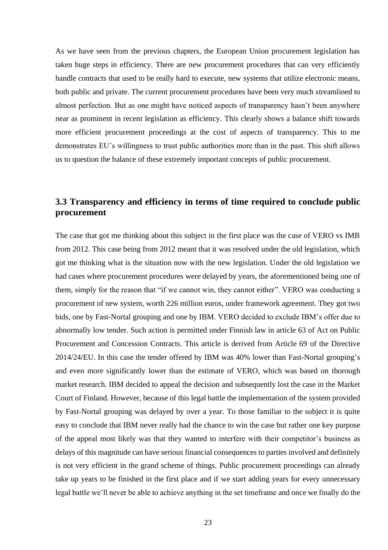As we have seen from the previous chapters, the European Union procurement legislation has taken huge steps in efficiency. There are new procurement procedures that can very efficiently handle contracts that used to be really hard to execute, new systems that utilize electronic means, both public and private. The current procurement procedures have been very much streamlined to almost perfection. But as one might have noticed aspects of transparency hasn't been anywhere near as prominent in recent legislation as efficiency. This clearly shows a balance shift towards more efficient procurement proceedings at the cost of aspects of transparency. This to me demonstrates EU's willingness to trust public authorities more than in the past. This shift allows us to question the balance of these extremely important concepts of public procurement.

### <span id="page-22-0"></span>**3.3 Transparency and efficiency in terms of time required to conclude public procurement**

The case that got me thinking about this subject in the first place was the case of VERO vs IMB from 2012. This case being from 2012 meant that it was resolved under the old legislation, which got me thinking what is the situation now with the new legislation. Under the old legislation we had cases where procurement procedures were delayed by years, the aforementioned being one of them, simply for the reason that "if we cannot win, they cannot either". VERO was conducting a procurement of new system, worth 226 million euros, under framework agreement. They got two bids, one by Fast-Nortal grouping and one by IBM. VERO decided to exclude IBM's offer due to abnormally low tender. Such action is permitted under Finnish law in article 63 of Act on Public Procurement and Concession Contracts. This article is derived from Article 69 of the Directive 2014/24/EU. In this case the tender offered by IBM was 40% lower than Fast-Nortal grouping's and even more significantly lower than the estimate of VERO, which was based on thorough market research. IBM decided to appeal the decision and subsequently lost the case in the Market Court of Finland. However, because of this legal battle the implementation of the system provided by Fast-Nortal grouping was delayed by over a year. To those familiar to the subject it is quite easy to conclude that IBM never really had the chance to win the case but rather one key purpose of the appeal most likely was that they wanted to interfere with their competitor's business as delays of this magnitude can have serious financial consequences to parties involved and definitely is not very efficient in the grand scheme of things. Public procurement proceedings can already take up years to be finished in the first place and if we start adding years for every unnecessary legal battle we'll never be able to achieve anything in the set timeframe and once we finally do the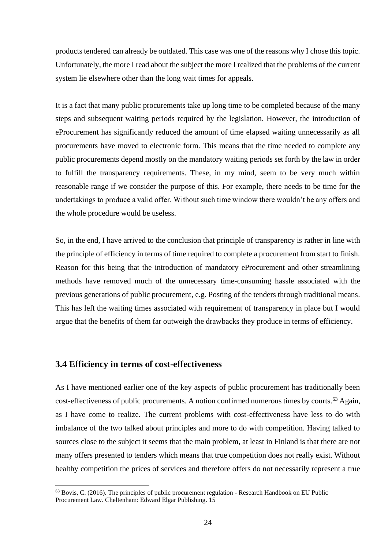products tendered can already be outdated. This case was one of the reasons why I chose this topic. Unfortunately, the more I read about the subject the more I realized that the problems of the current system lie elsewhere other than the long wait times for appeals.

It is a fact that many public procurements take up long time to be completed because of the many steps and subsequent waiting periods required by the legislation. However, the introduction of eProcurement has significantly reduced the amount of time elapsed waiting unnecessarily as all procurements have moved to electronic form. This means that the time needed to complete any public procurements depend mostly on the mandatory waiting periods set forth by the law in order to fulfill the transparency requirements. These, in my mind, seem to be very much within reasonable range if we consider the purpose of this. For example, there needs to be time for the undertakings to produce a valid offer. Without such time window there wouldn't be any offers and the whole procedure would be useless.

So, in the end, I have arrived to the conclusion that principle of transparency is rather in line with the principle of efficiency in terms of time required to complete a procurement from start to finish. Reason for this being that the introduction of mandatory eProcurement and other streamlining methods have removed much of the unnecessary time-consuming hassle associated with the previous generations of public procurement, e.g. Posting of the tenders through traditional means. This has left the waiting times associated with requirement of transparency in place but I would argue that the benefits of them far outweigh the drawbacks they produce in terms of efficiency.

#### <span id="page-23-0"></span>**3.4 Efficiency in terms of cost-effectiveness**

As I have mentioned earlier one of the key aspects of public procurement has traditionally been cost-effectiveness of public procurements. A notion confirmed numerous times by courts.<sup>63</sup> Again, as I have come to realize. The current problems with cost-effectiveness have less to do with imbalance of the two talked about principles and more to do with competition. Having talked to sources close to the subject it seems that the main problem, at least in Finland is that there are not many offers presented to tenders which means that true competition does not really exist. Without healthy competition the prices of services and therefore offers do not necessarily represent a true

 $<sup>63</sup>$  Bovis, C. (2016). The principles of public procurement regulation - Research Handbook on EU Public</sup> Procurement Law. Cheltenham: Edward Elgar Publishing. 15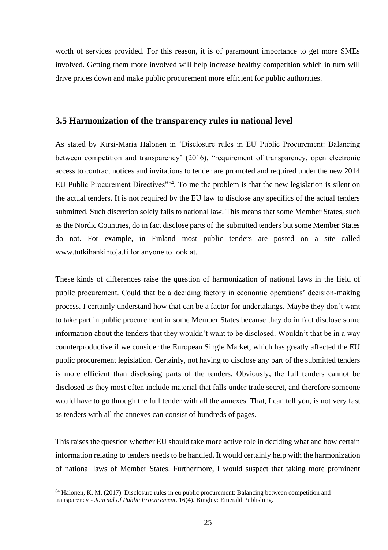worth of services provided. For this reason, it is of paramount importance to get more SMEs involved. Getting them more involved will help increase healthy competition which in turn will drive prices down and make public procurement more efficient for public authorities.

#### <span id="page-24-0"></span>**3.5 Harmonization of the transparency rules in national level**

As stated by Kirsi-Maria Halonen in 'Disclosure rules in EU Public Procurement: Balancing between competition and transparency' (2016), "requirement of transparency, open electronic access to contract notices and invitations to tender are promoted and required under the new 2014 EU Public Procurement Directives"<sup>64</sup>. To me the problem is that the new legislation is silent on the actual tenders. It is not required by the EU law to disclose any specifics of the actual tenders submitted. Such discretion solely falls to national law. This means that some Member States, such as the Nordic Countries, do in fact disclose parts of the submitted tenders but some Member States do not. For example, in Finland most public tenders are posted on a site called www.tutkihankintoja.fi for anyone to look at.

These kinds of differences raise the question of harmonization of national laws in the field of public procurement. Could that be a deciding factory in economic operations' decision-making process. I certainly understand how that can be a factor for undertakings. Maybe they don't want to take part in public procurement in some Member States because they do in fact disclose some information about the tenders that they wouldn't want to be disclosed. Wouldn't that be in a way counterproductive if we consider the European Single Market, which has greatly affected the EU public procurement legislation. Certainly, not having to disclose any part of the submitted tenders is more efficient than disclosing parts of the tenders. Obviously, the full tenders cannot be disclosed as they most often include material that falls under trade secret, and therefore someone would have to go through the full tender with all the annexes. That, I can tell you, is not very fast as tenders with all the annexes can consist of hundreds of pages.

This raises the question whether EU should take more active role in deciding what and how certain information relating to tenders needs to be handled. It would certainly help with the harmonization of national laws of Member States. Furthermore, I would suspect that taking more prominent

 $64$  Halonen, K. M. (2017). Disclosure rules in eu public procurement: Balancing between competition and transparency - *Journal of Public Procurement*. 16(4). Bingley: Emerald Publishing.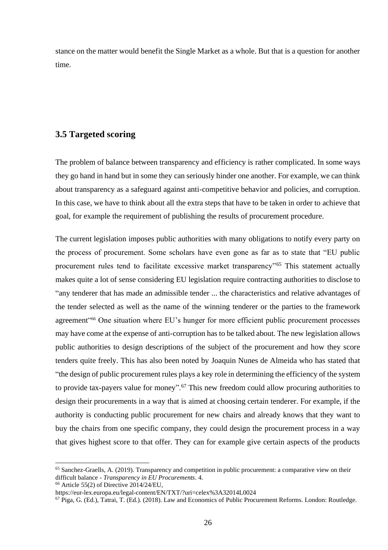stance on the matter would benefit the Single Market as a whole. But that is a question for another time.

#### <span id="page-25-0"></span>**3.5 Targeted scoring**

The problem of balance between transparency and efficiency is rather complicated. In some ways they go hand in hand but in some they can seriously hinder one another. For example, we can think about transparency as a safeguard against anti-competitive behavior and policies, and corruption. In this case, we have to think about all the extra steps that have to be taken in order to achieve that goal, for example the requirement of publishing the results of procurement procedure.

The current legislation imposes public authorities with many obligations to notify every party on the process of procurement. Some scholars have even gone as far as to state that "EU public procurement rules tend to facilitate excessive market transparency"<sup>65</sup> This statement actually makes quite a lot of sense considering EU legislation require contracting authorities to disclose to "any tenderer that has made an admissible tender ... the characteristics and relative advantages of the tender selected as well as the name of the winning tenderer or the parties to the framework agreement<sup>166</sup> One situation where EU's hunger for more efficient public procurement processes may have come at the expense of anti-corruption has to be talked about. The new legislation allows public authorities to design descriptions of the subject of the procurement and how they score tenders quite freely. This has also been noted by Joaquin Nunes de Almeida who has stated that "the design of public procurement rules plays a key role in determining the efficiency of the system to provide tax-payers value for money".<sup>67</sup> This new freedom could allow procuring authorities to design their procurements in a way that is aimed at choosing certain tenderer. For example, if the authority is conducting public procurement for new chairs and already knows that they want to buy the chairs from one specific company, they could design the procurement process in a way that gives highest score to that offer. They can for example give certain aspects of the products

 $66$  Article 55(2) of Directive 2014/24/EU,

<sup>65</sup> Sanchez-Graells, A. (2019). Transparency and competition in public procurement: a comparative view on their difficult balance - *Transparency in EU Procurements*. 4.

https://eur-lex.europa.eu/legal-content/EN/TXT/?uri=celex%3A32014L0024

<sup>67</sup> Piga, G. (Ed.), Tatrai, T. (Ed.). (2018). Law and Economics of Public Procurement Reforms. London: Routledge.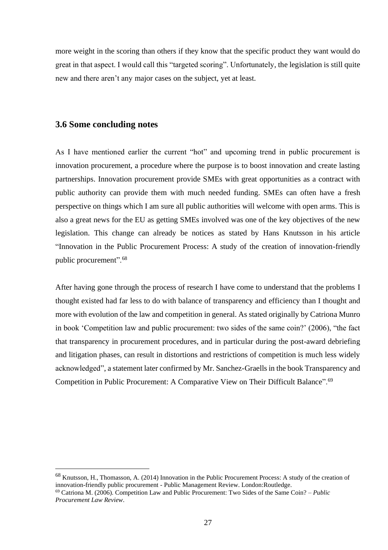more weight in the scoring than others if they know that the specific product they want would do great in that aspect. I would call this "targeted scoring". Unfortunately, the legislation is still quite new and there aren't any major cases on the subject, yet at least.

#### <span id="page-26-0"></span>**3.6 Some concluding notes**

As I have mentioned earlier the current "hot" and upcoming trend in public procurement is innovation procurement, a procedure where the purpose is to boost innovation and create lasting partnerships. Innovation procurement provide SMEs with great opportunities as a contract with public authority can provide them with much needed funding. SMEs can often have a fresh perspective on things which I am sure all public authorities will welcome with open arms. This is also a great news for the EU as getting SMEs involved was one of the key objectives of the new legislation. This change can already be notices as stated by Hans Knutsson in his article "Innovation in the Public Procurement Process: A study of the creation of innovation-friendly public procurement".<sup>68</sup>

After having gone through the process of research I have come to understand that the problems I thought existed had far less to do with balance of transparency and efficiency than I thought and more with evolution of the law and competition in general. As stated originally by Catriona Munro in book 'Competition law and public procurement: two sides of the same coin?' (2006), "the fact that transparency in procurement procedures, and in particular during the post-award debriefing and litigation phases, can result in distortions and restrictions of competition is much less widely acknowledged", a statement later confirmed by Mr. Sanchez-Graells in the book Transparency and Competition in Public Procurement: A Comparative View on Their Difficult Balance".<sup>69</sup>

<sup>68</sup> Knutsson, H., Thomasson, A. (2014) Innovation in the Public Procurement Process: A study of the creation of innovation-friendly public procurement - Public Management Review. London:Routledge.

<sup>69</sup> Catriona M. (2006). Competition Law and Public Procurement: Two Sides of the Same Coin? – *Public Procurement Law Review*.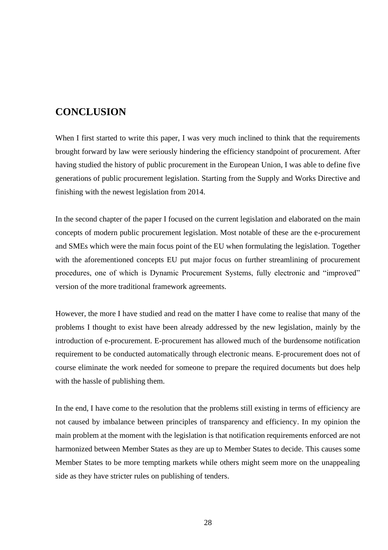# <span id="page-27-0"></span>**CONCLUSION**

When I first started to write this paper, I was very much inclined to think that the requirements brought forward by law were seriously hindering the efficiency standpoint of procurement. After having studied the history of public procurement in the European Union, I was able to define five generations of public procurement legislation. Starting from the Supply and Works Directive and finishing with the newest legislation from 2014.

In the second chapter of the paper I focused on the current legislation and elaborated on the main concepts of modern public procurement legislation. Most notable of these are the e-procurement and SMEs which were the main focus point of the EU when formulating the legislation. Together with the aforementioned concepts EU put major focus on further streamlining of procurement procedures, one of which is Dynamic Procurement Systems, fully electronic and "improved" version of the more traditional framework agreements.

However, the more I have studied and read on the matter I have come to realise that many of the problems I thought to exist have been already addressed by the new legislation, mainly by the introduction of e-procurement. E-procurement has allowed much of the burdensome notification requirement to be conducted automatically through electronic means. E-procurement does not of course eliminate the work needed for someone to prepare the required documents but does help with the hassle of publishing them.

In the end, I have come to the resolution that the problems still existing in terms of efficiency are not caused by imbalance between principles of transparency and efficiency. In my opinion the main problem at the moment with the legislation is that notification requirements enforced are not harmonized between Member States as they are up to Member States to decide. This causes some Member States to be more tempting markets while others might seem more on the unappealing side as they have stricter rules on publishing of tenders.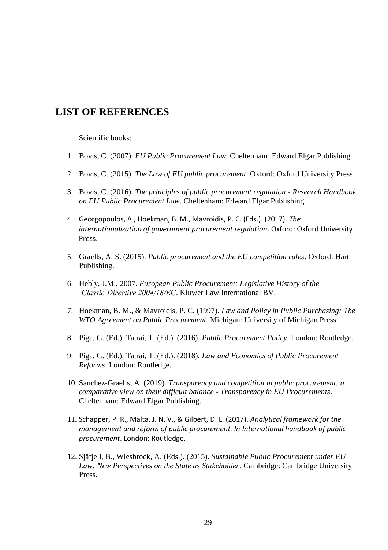### <span id="page-28-0"></span>**LIST OF REFERENCES**

Scientific books:

- 1. Bovis, C. (2007). *EU Public Procurement Law*. Cheltenham: Edward Elgar Publishing.
- 2. Bovis, C. (2015). *The Law of EU public procurement*. Oxford: Oxford University Press.
- 3. Bovis, C. (2016). *The principles of public procurement regulation - Research Handbook on EU Public Procurement Law*. Cheltenham: Edward Elgar Publishing.
- 4. Georgopoulos, A., Hoekman, B. M., Mavroidis, P. C. (Eds.). (2017). *The internationalization of government procurement regulation*. Oxford: Oxford University Press.
- 5. Graells, A. S. (2015). *Public procurement and the EU competition rules*. Oxford: Hart Publishing.
- 6. Hebly, J.M., 2007. *European Public Procurement: Legislative History of the 'Classic'Directive 2004/18/EC*. Kluwer Law International BV.
- 7. Hoekman, B. M., & Mavroidis, P. C. (1997). *Law and Policy in Public Purchasing: The WTO Agreement on Public Procurement*. Michigan: University of Michigan Press.
- 8. Piga, G. (Ed.), Tatrai, T. (Ed.). (2016). *Public Procurement Policy*. London: Routledge.
- 9. Piga, G. (Ed.), Tatrai, T. (Ed.). (2018). *Law and Economics of Public Procurement Reforms*. London: Routledge.
- 10. Sanchez-Graells, A. (2019). *Transparency and competition in public procurement: a comparative view on their difficult balance - Transparency in EU Procurements*. Cheltenham: Edward Elgar Publishing.
- 11. Schapper, P. R., Malta, J. N. V., & Gilbert, D. L. (2017). *Analytical framework for the management and reform of public procurement. In International handbook of public procurement*. London: Routledge.
- 12. Sjåfjell, B., Wiesbrock, A. (Eds.). (2015). *Sustainable Public Procurement under EU Law: New Perspectives on the State as Stakeholder*. Cambridge: Cambridge University Press.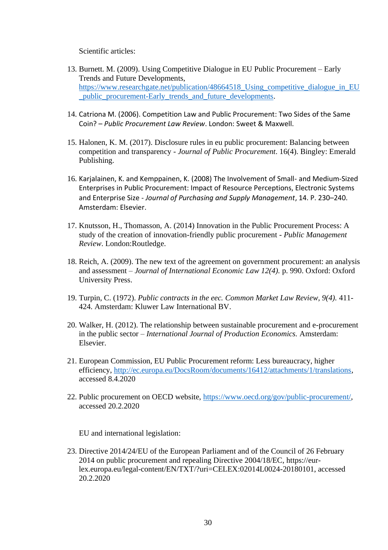Scientific articles:

- 13. Burnett. M. (2009). Using Competitive Dialogue in EU Public Procurement Early Trends and Future Developments, [https://www.researchgate.net/publication/48664518\\_Using\\_competitive\\_dialogue\\_in\\_EU](https://www.researchgate.net/publication/48664518_Using_competitive_dialogue_in_EU_public_procurement-Early_trends_and_future_developments) [\\_public\\_procurement-Early\\_trends\\_and\\_future\\_developments.](https://www.researchgate.net/publication/48664518_Using_competitive_dialogue_in_EU_public_procurement-Early_trends_and_future_developments)
- 14. Catriona M. (2006). Competition Law and Public Procurement: Two Sides of the Same Coin? – *Public Procurement Law Review*. London: Sweet & Maxwell.
- 15. Halonen, K. M. (2017). Disclosure rules in eu public procurement: Balancing between competition and transparency - *Journal of Public Procurement*. 16(4). Bingley: Emerald Publishing.
- 16. Karjalainen, K. and Kemppainen, K. (2008) The Involvement of Small- and Medium-Sized Enterprises in Public Procurement: Impact of Resource Perceptions, Electronic Systems and Enterprise Size - *Journal of Purchasing and Supply Management*, 14. P. 230–240. Amsterdam: Elsevier.
- 17. Knutsson, H., Thomasson, A. (2014) Innovation in the Public Procurement Process: A study of the creation of innovation-friendly public procurement - *Public Management Review*. London:Routledge.
- 18. Reich, A. (2009). The new text of the agreement on government procurement: an analysis and assessment – *Journal of International Economic Law 12(4).* p. 990. Oxford: Oxford University Press.
- 19. Turpin, C. (1972). *Public contracts in the eec. Common Market Law Review, 9(4).* 411- 424. Amsterdam: Kluwer Law International BV.
- 20. Walker, H. (2012). The relationship between sustainable procurement and e-procurement in the public sector – *International Journal of Production Economics.* Amsterdam: Elsevier.
- 21. European Commission, EU Public Procurement reform: Less bureaucracy, higher efficiency, [http://ec.europa.eu/DocsRoom/documents/16412/attachments/1/translations,](http://ec.europa.eu/DocsRoom/documents/16412/attachments/1/translations) accessed 8.4.2020
- 22. Public procurement on OECD website, [https://www.oecd.org/gov/public-procurement/,](https://www.oecd.org/gov/public-procurement/) accessed 20.2.2020

EU and international legislation:

23. Directive 2014/24/EU of the European Parliament and of the Council of 26 February 2014 on public procurement and repealing Directive 2004/18/EC, [https://eur](https://eur-lex.europa.eu/legal-content/EN/TXT/?uri=CELEX:02014L0024-20180101)[lex.europa.eu/legal-content/EN/TXT/?uri=CELEX:02014L0024-20180101,](https://eur-lex.europa.eu/legal-content/EN/TXT/?uri=CELEX:02014L0024-20180101) accessed 20.2.2020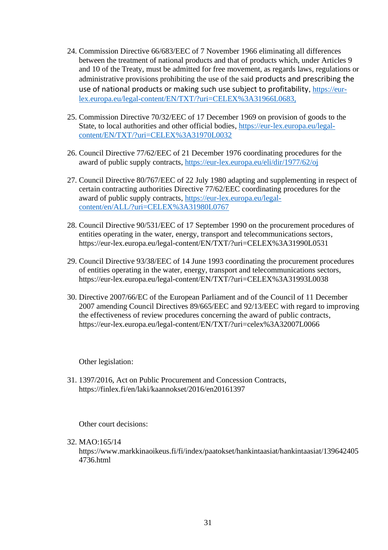- 24. Commission Directive 66/683/EEC of 7 November 1966 eliminating all differences between the treatment of national products and that of products which, under Articles 9 and 10 of the Treaty, must be admitted for free movement, as regards laws, regulations or administrative provisions prohibiting the use of the said products and prescribing the use of national products or making such use subject to profitability, [https://eur](https://eur-lex.europa.eu/legal-content/EN/TXT/?uri=CELEX%3A31966L0683)[lex.europa.eu/legal-content/EN/TXT/?uri=CELEX%3A31966L0683,](https://eur-lex.europa.eu/legal-content/EN/TXT/?uri=CELEX%3A31966L0683)
- 25. Commission Directive 70/32/EEC of 17 December 1969 on provision of goods to the State, to local authorities and other official bodies, [https://eur-lex.europa.eu/legal](https://eur-lex.europa.eu/legal-content/EN/TXT/?uri=CELEX%3A31970L0032)[content/EN/TXT/?uri=CELEX%3A31970L0032](https://eur-lex.europa.eu/legal-content/EN/TXT/?uri=CELEX%3A31970L0032)
- 26. Council Directive 77/62/EEC of 21 December 1976 coordinating procedures for the award of public supply contracts,<https://eur-lex.europa.eu/eli/dir/1977/62/oj>
- 27. Council Directive 80/767/EEC of 22 July 1980 adapting and supplementing in respect of certain contracting authorities Directive 77/62/EEC coordinating procedures for the award of public supply contracts, [https://eur-lex.europa.eu/legal](https://eur-lex.europa.eu/legal-content/en/ALL/?uri=CELEX%3A31980L0767)[content/en/ALL/?uri=CELEX%3A31980L0767](https://eur-lex.europa.eu/legal-content/en/ALL/?uri=CELEX%3A31980L0767)
- 28. Council Directive 90/531/EEC of 17 September 1990 on the procurement procedures of entities operating in the water, energy, transport and telecommunications sectors, <https://eur-lex.europa.eu/legal-content/EN/TXT/?uri=CELEX%3A31990L0531>
- 29. Council Directive 93/38/EEC of 14 June 1993 coordinating the procurement procedures of entities operating in the water, energy, transport and telecommunications sectors, <https://eur-lex.europa.eu/legal-content/EN/TXT/?uri=CELEX%3A31993L0038>
- 30. Directive 2007/66/EC of the European Parliament and of the Council of 11 December 2007 amending Council Directives 89/665/EEC and 92/13/EEC with regard to improving the effectiveness of review procedures concerning the award of public contracts, <https://eur-lex.europa.eu/legal-content/EN/TXT/?uri=celex%3A32007L0066>

Other legislation:

31. 1397/2016, Act on Public Procurement and Concession Contracts, https://finlex.fi/en/laki/kaannokset/2016/en20161397

Other court decisions:

#### 32. MAO:165/14

[https://www.markkinaoikeus.fi/fi/index/paatokset/hankintaasiat/hankintaasiat/139642405](https://www.markkinaoikeus.fi/fi/index/paatokset/hankintaasiat/hankintaasiat/1396424054736.html) [4736.html](https://www.markkinaoikeus.fi/fi/index/paatokset/hankintaasiat/hankintaasiat/1396424054736.html)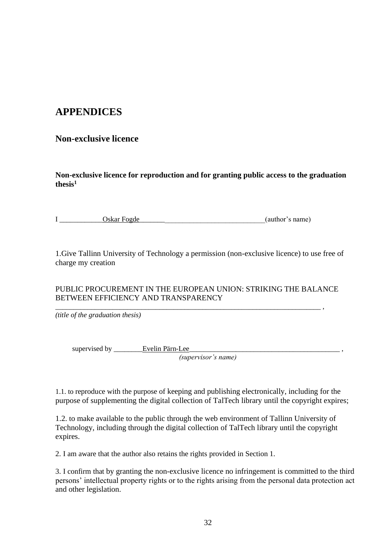# <span id="page-31-0"></span>**APPENDICES**

### **Non-exclusive licence**

**Non-exclusive licence for reproduction and for granting public access to the graduation thesis<sup>1</sup>**

| Oskar Fogde | (author's name) |
|-------------|-----------------|
|             |                 |

1.Give Tallinn University of Technology a permission (non-exclusive licence) to use free of charge my creation

#### PUBLIC PROCUREMENT IN THE EUROPEAN UNION: STRIKING THE BALANCE BETWEEN EFFICIENCY AND TRANSPARENCY

\_\_\_\_\_\_\_\_\_\_\_\_\_\_\_\_\_\_\_\_\_\_\_\_\_\_\_\_\_\_\_\_\_\_\_\_\_\_\_\_\_\_\_\_\_\_\_\_\_\_\_\_\_\_\_\_\_\_\_\_\_\_\_\_\_\_\_\_\_\_\_\_\_\_ ,

*(title of the graduation thesis)*

supervised by \_\_\_\_\_\_\_\_Evelin Pärn-Lee\_\_\_\_\_\_\_\_\_\_\_\_\_\_\_\_\_\_\_\_\_\_\_\_\_\_\_\_\_\_\_\_\_\_\_\_\_\_\_\_\_\_ , *(supervisor's name)*

1.1. to reproduce with the purpose of keeping and publishing electronically, including for the purpose of supplementing the digital collection of TalTech library until the copyright expires;

1.2. to make available to the public through the web environment of Tallinn University of Technology, including through the digital collection of TalTech library until the copyright expires.

2. I am aware that the author also retains the rights provided in Section 1.

3. I confirm that by granting the non-exclusive licence no infringement is committed to the third persons' intellectual property rights or to the rights arising from the personal data protection act and other legislation.